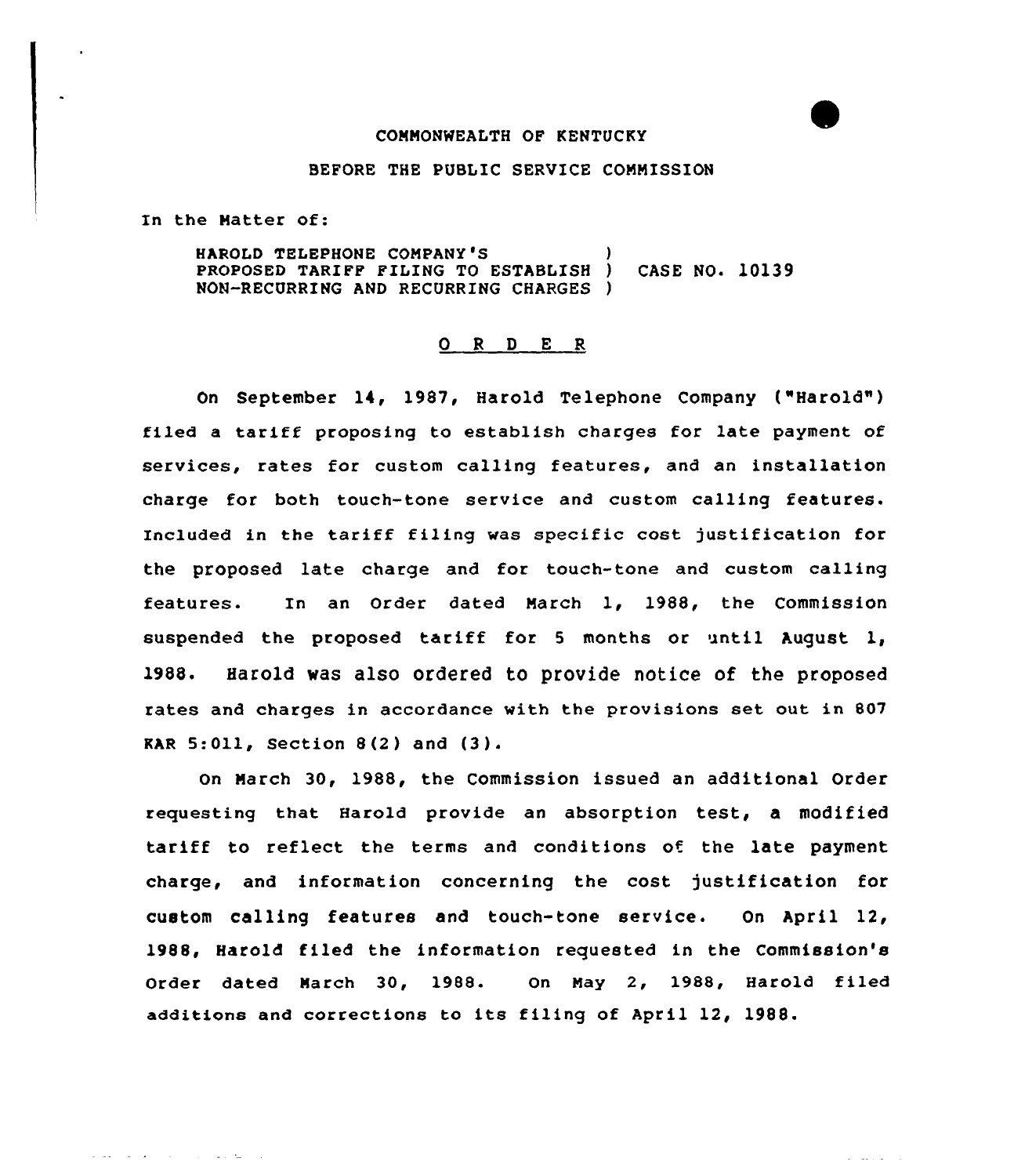## COMMONWEALTH OF KENTUCKY

#### BEFORE THE PUBLIC SERVICE COMMISSION

In the Matter of:

المتابع وعادوا والمتابع والمتعاطف

HAROLD TELEPHONE COMPANY'S PROPOSED TARIFF FILING TO ESTABLISH ) CASE NO. 10139 NON-RECURRING AND RECURRING CHARGES )

#### 0 <sup>R</sup> <sup>D</sup> E R

On September 14, 1987, Harold Telephone COmpany ("Harold" ) filed <sup>a</sup> tariff proposing to establish charges for late payment of services, rates for custom calling features, and an installation charge for both touch-tone service and custom calling features. Included in the tariff filing was specific cost justification for the proposed late charge and for touch-tone and custom calling features. In an Order dated March 1, 1988, the Commission suspended the proposed tariff for <sup>5</sup> months or until August 1, 1988. Harold was also ordered to provide notice of the proposed rates and charges in accordance with the provisions set out in 807 **KAR 5:011, Section 8(2) and (3).** 

On March 30, 1988, the Commission issued an additional Order requesting that Harold provide an absorption test, a modified tariff to reflect the terms and conditions of the late payment charge, and information concerning the cost justification for custom calling features and touch-tone service. On April 12, 1988, Harold filed the information requested in the Commission's Order dated March 30, 1988. On May 2, 1988, Harold tiled additions and corrections to its filing of April 12, 1988.

 $\omega$  . The same  $\omega$  is a  $\omega$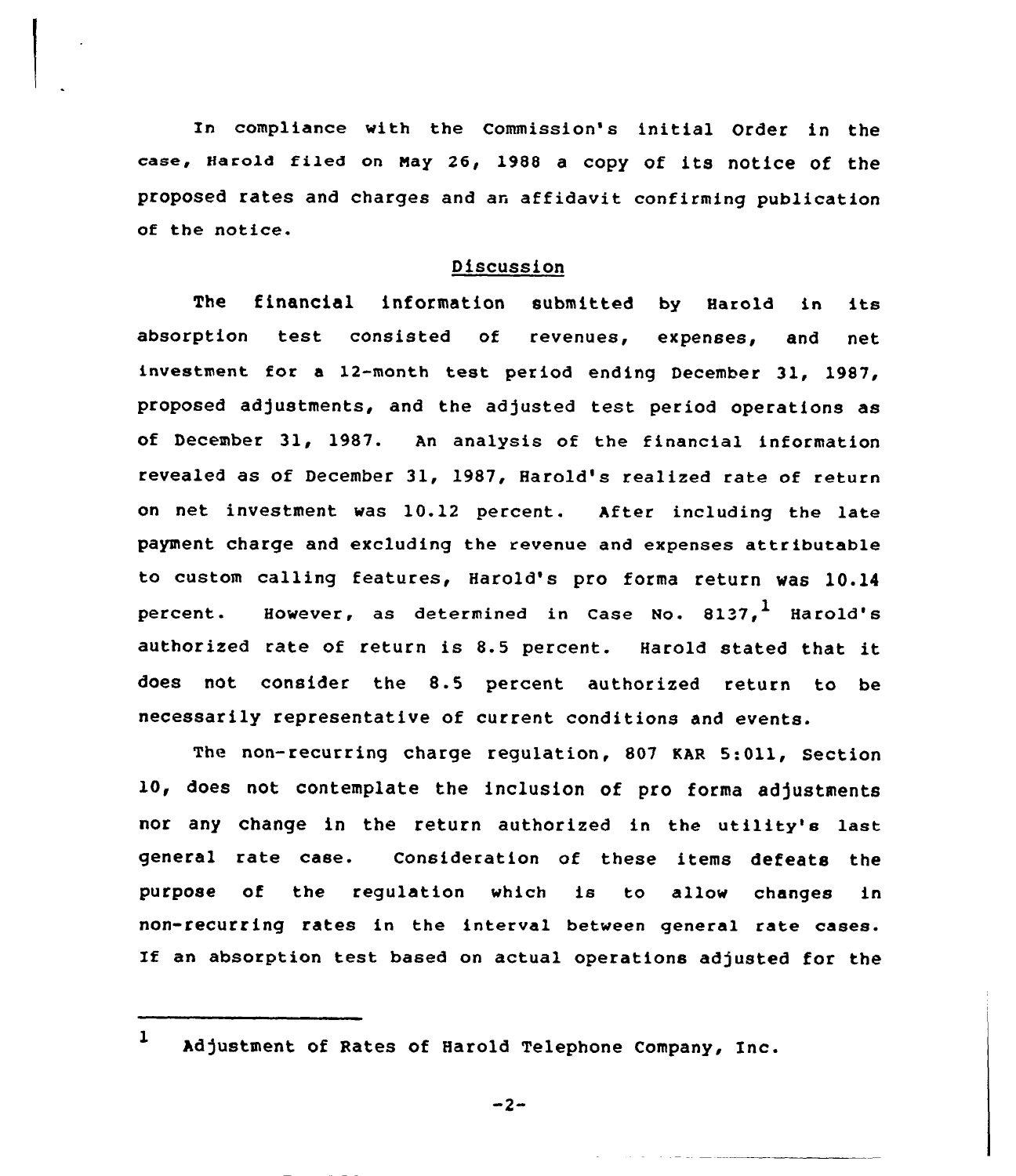In compliance with the Commission's initial Order in the case, Harold filed on May 26, 1988 a copy of its notice of the proposed rates and charges and an affidavit confirming publication of the notice.

## Discussion

The financial information submitted by Harold in its absorption test consisted of revenues, expenses, and net investment for <sup>a</sup> 12-manth test period ending December 31, 1987, proposed adjustments, and the adjusted test period operations as of December 31, 1987. An analysis of the financial information revealed as of December 31, 1987, Harold's realized rate of return on net investment was 10.12 percent. After including the late payment charge and excluding the revenue and expenses attributable to custom calling features, Harold's pro forma return was 10.14 percent. However, as determined in Case No. 8137, Harold's authorized rate of return is 8.5 percent. Harold stated that it does not consider the 8.5 percent authorized return to be necessarily representative of current conditions and events.

The non-recurring charge regulation, 807 KAR 5:011, Section 10, does not contemplate the inclusion of pro forma adjustments nor any change in the return autharized in the utility's last general rate case. Consideration of these items defeats the purpose of the regulation which is to allow changes in non-recurring rates in the interval between general rate cases. If an absorption test based on actual operations adjusted for the

 $-2-$ 

<sup>1</sup> Adjustment of Rates of Harold Telephone Company, Inc.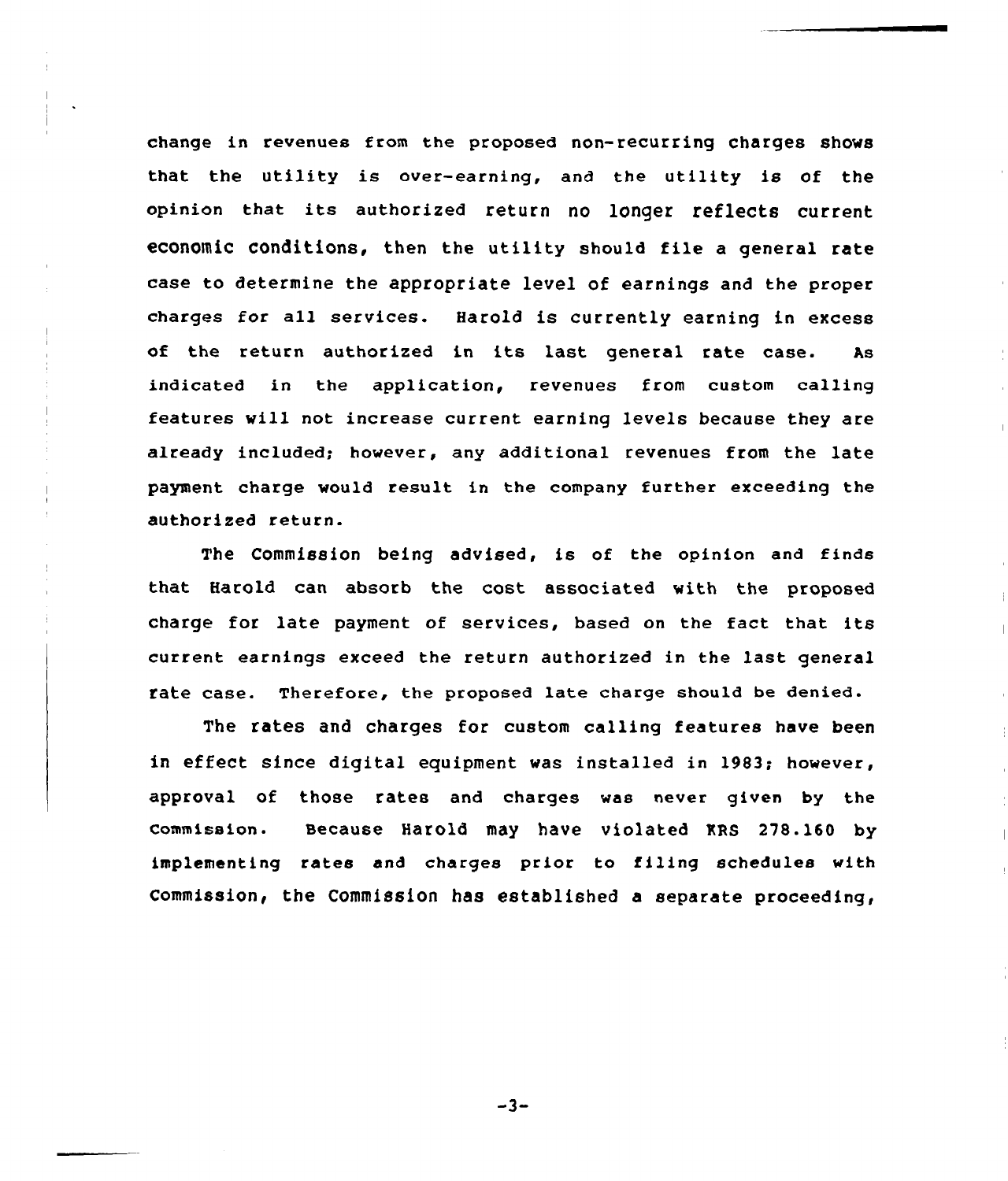change in revenues from the proposed non-recurring Charges shows that the utility is over-earning, and the utility is of the opinion that its authorized return no longer reflects current economic conditions, then the utility should file a general rate case to determine the appropriate level of earnings and the proper charges for all services. Harold is currently earning in excess of the return authorized in its last general rate case. As indicated in the application, revenues from custom calling features vill not increase current earninq levels because they are already included; however, any additional revenues from the late payment charge would result in the company further exceeding the authorized return.

The Commission being advised, is of the opinion and finds that Harold can absorb the cost associated with the proposed charge for late payment of services, based on the fact that its current earnings exceed the return authorized in the last general rate case. Therefore, the proposed late charge should be denied.

The rates and charges for custom calling features have been in effect since diqital equipment was installed in 1983; however, approval of those rates and charges was never given by the commission. secause Harold may have violated MRS 278. 160 by implementing rates and charges prior to filing schedules with Commission, the Commission has established a separate proceeding,

 $-3-$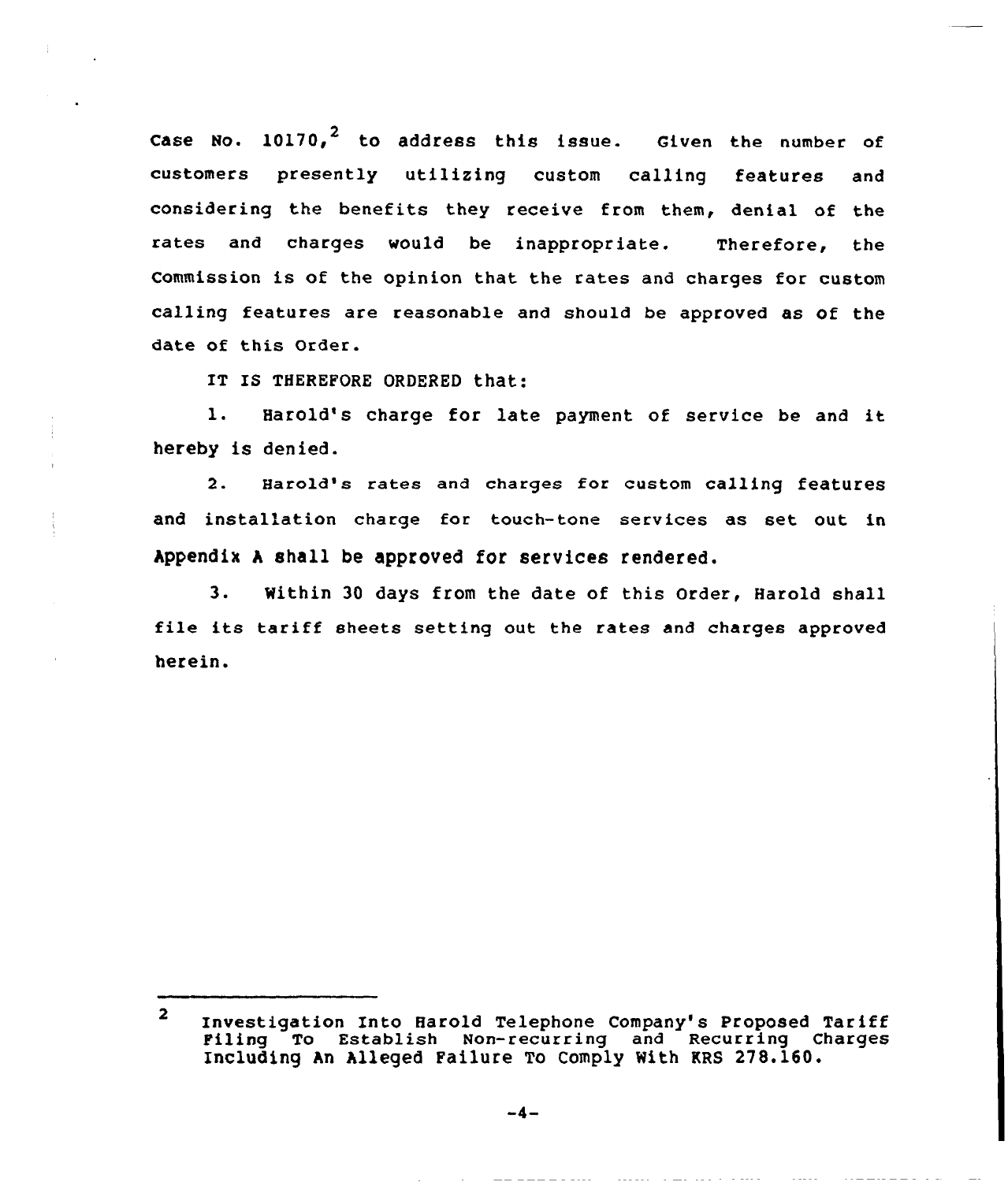Case No.  $10170<sub>l</sub><sup>2</sup>$  to address this issue. Given the number of customers presently utilizing custom calling features and considering the benefits they receive from them, denial of the rates and charges would be inappropriate. Therefore, the Commission is of the opinion that the rates and charges for custom calling features are reasonable and should be approved as of the date of this Order.

IT IS THEREFORE ORDERED that:

l. Harold's charge for late payment of service be and it hereby is denied.

2. Harold's rates and charges for custom calling features and installation charge for touch-tone services as set out in Appendix <sup>A</sup> shall be approved for services rendered.

3. Within 30 days from the date of this Order, Harold shall file its tariff sheets setting out the rates and charges approved herein.

 $\overline{\mathbf{2}}$ Investigation Into Harold Telephone Company's Proposed Tariff Piling To Establish Non-recurring and Recurring Charges Including An Alleged Failure To Comply With KRS 278.160.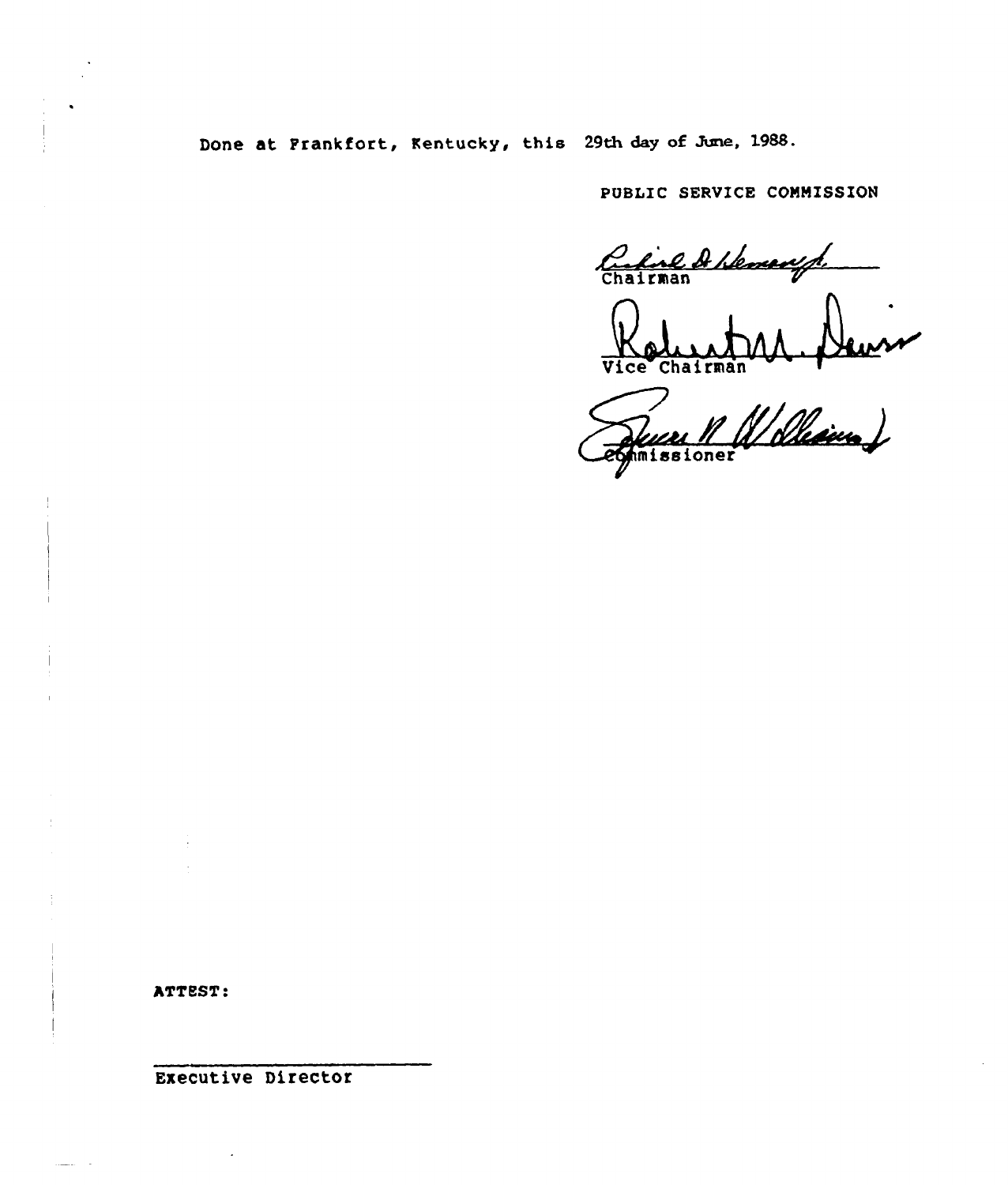Done at Frankfort, Kentucky, this 29th day of June, 1988.

PUBLIC SERVICE COMMISSION

Carline A Hennesyt

**Vice Chairman** 

vice Chairman VVI. Neuve

ATTEST:

Executive Director